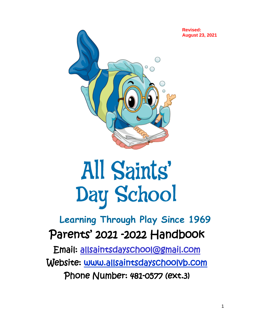

# All Saints' Day School

## **Learning Through Play Since 1969** Parents' 2021 -2022 Handbook

Email: [allsaintsdayschool@gmail.com](mailto:allsaintsdayschool@gmail.com)  Website: [www.allsaintsdayschoolvb.com](http://www.allsaintsdayschoolvb.com/)  Phone Number: 481-0577 (ext.3)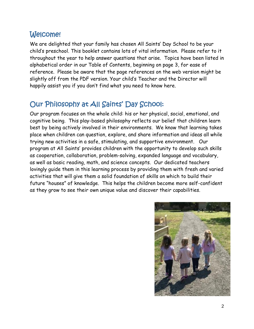#### Welcome!

We are delighted that your family has chosen All Saints' Day School to be your child's preschool. This booklet contains lots of vital information. Please refer to it throughout the year to help answer questions that arise. Topics have been listed in alphabetical order in our Table of Contents, beginning on page 3, for ease of reference. Please be aware that the page references on the web version might be slightly off from the PDF version. Your child's Teacher and the Director will happily assist you if you don't find what you need to know here.

## Our Philosophy at All Saints' Day School:

Our program focuses on the whole child: his or her physical, social, emotional, and cognitive being. This play-based philosophy reflects our belief that children learn best by being actively involved in their environments. We know that learning takes place when children can question, explore, and share information and ideas all while trying new activities in a safe, stimulating, and supportive environment. Our program at All Saints' provides children with the opportunity to develop such skills as cooperation, collaboration, problem-solving, expanded language and vocabulary, as well as basic reading, math, and science concepts. Our dedicated teachers lovingly guide them in this learning process by providing them with fresh and varied activities that will give them a solid foundation of skills on which to build their future "houses" of knowledge. This helps the children become more self-confident as they grow to see their own unique value and discover their capabilities.

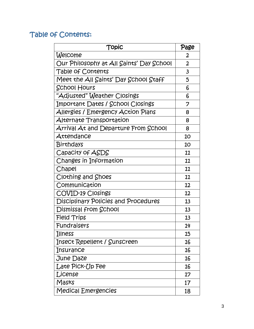#### Table of Contents:

| Topic                                       | Page           |
|---------------------------------------------|----------------|
| Welcome                                     | 2              |
| Our Philosophy at All Saints' Day School    | $\overline{2}$ |
| Table of Contents                           | $\mathbf{3}$   |
| Meet the All Saints' Day School Staff       | 5              |
| <b>School Hours</b>                         | 6              |
| "Adjusted" Weather Closings                 | 6              |
| Important Dates / School Closings           | 7              |
| Allergies / Emergency Action Plans          | 8              |
| Alternate Transportation                    | 8              |
| Arrival At and Departure From School        | 8              |
| Attendance                                  | 10             |
| Birthdays                                   | 10             |
| Capacity of ASDS                            | 11             |
| Changes in Information                      | 11             |
| Chapel                                      | 11             |
| Clothing and Shoes                          | 11             |
| Communication                               | 12             |
| <b>COVID-19 Closings</b>                    | 12             |
| <b>Disciplinary Policies and Procedures</b> | 13             |
| Dismissal from School                       | 13             |
| Field Trips                                 | 13             |
| Fundraisers                                 | 14             |
| Illness                                     | 15             |
| Insect Repellent / Sunscreen                | 16             |
| Insurance                                   | 16             |
| June Daze                                   | 16             |
| Late Pick-Up Fee                            | 16             |
| License                                     | 17             |
| Masks                                       | 17             |
| <b>Medical Emergencies</b>                  | 18             |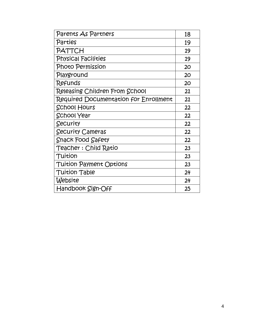| Parents As Partners                   | 18 |
|---------------------------------------|----|
| Parties                               | 19 |
| PATTCH                                | 19 |
| <b>Physical Facilities</b>            | 19 |
| Photo Permission                      | 20 |
| Playground                            | 20 |
| <b>Refunds</b>                        | 20 |
| Releasing Children From School        | 21 |
| Required Documentation for Enrollment | 21 |
| <b>School Hours</b>                   | 22 |
| <b>School Year</b>                    | 22 |
| Security                              | 22 |
| Security Cameras                      | 22 |
| <b>Shack Food Safety</b>              | 22 |
| Teacher : Child Ratio                 | 23 |
| Tuition                               | 23 |
| <b>Tuition Payment Options</b>        | 23 |
| <b>Tuition Table</b>                  | 24 |
| Website                               | 24 |
| Handbook Sign-Off                     | 25 |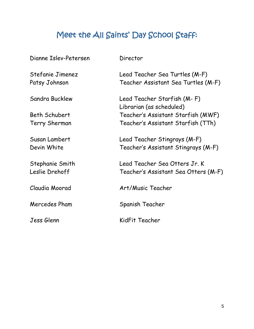## Meet the All Saints' Day School Staff:

| Dianne Islev-Petersen             | Director                                                              |
|-----------------------------------|-----------------------------------------------------------------------|
| Stefanie Jimenez<br>Patsy Johnson | Lead Teacher Sea Turtles (M-F)<br>Teacher Assistant Sea Turtles (M-F) |
| Sandra Bucklew                    | Lead Teacher Starfish (M-F)<br>Librarian (as scheduled)               |
| Beth Schubert                     | Teacher's Assistant Starfish (MWF)                                    |
| Terry Sherman                     | Teacher's Assistant Starfish (TTh)                                    |
| Susan Lambert                     | Lead Teacher Stingrays (M-F)                                          |
| Devin White                       | Teacher's Assistant Stingrays (M-F)                                   |
| Stephanie Smith<br>Leslie Drehoff | Lead Teacher Sea Otters Jr. K<br>Teacher's Assistant Sea Otters (M-F) |
| Claudia Moorad                    | Art/Music Teacher                                                     |
| Mercedes Pham                     | Spanish Teacher                                                       |
| Jess Glenn                        | KidFit Teacher                                                        |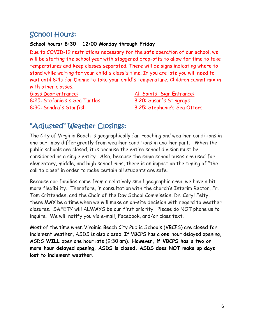## School Hours:

#### **School hours: 8:30 – 12:00 Monday through Friday**

Due to COVID-19 restrictions necessary for the safe operation of our school, we will be starting the school year with staggered drop-offs to allow for time to take temperatures and keep classes separated. There will be signs indicating where to stand while waiting for your child's class's time. If you are late you will need to wait until 8:45 for Dianne to take your child's temperature. Children cannot mix in with other classes.

Glass Door entrance: All Saints' Sign Entrance: 8:25: Stefanie's's Sea Turtles 8:20: Susan's Stingrays 8:30: Sandra's Starfish 8:25: Stephanie's Sea Otters

## "Adjusted" Weather Closings:

The City of Virginia Beach is geographically far-reaching and weather conditions in one part may differ greatly from weather conditions in another part. When the public schools are closed, it is because the entire school division must be considered as a single entity. Also, because the same school buses are used for elementary, middle, and high school runs, there is an impact on the timing of "the call to close" in order to make certain all students are safe.

Because our families come from a relatively small geographic area, we have a bit more flexibility. Therefore, in consultation with the church's Interim Rector, Fr. Tom Crittenden, and the Chair of the Day School Commission, Dr. Caryl Felty, there **MAY** be a time when we will make an on-site decision with regard to weather closures. SAFETY will ALWAYS be our first priority. Please do NOT phone us to inquire. We will notify you via e-mail, Facebook, and/or class text.

Most of the time when Virginia Beach City Public Schools (VBCPS) are closed for inclement weather, ASDS is also closed. If VBCPS has a **one** hour delayed opening, ASDS **WILL** open one hour late (9:30 am). **However, if VBCPS has a two or more hour delayed opening, ASDS is closed. ASDS does NOT make up days lost to inclement weather.**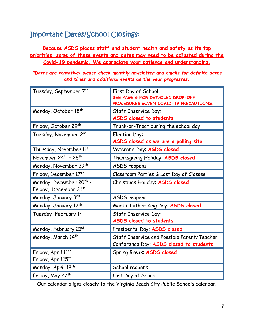## Important Dates/School Closings:

#### **Because ASDS places staff and student health and safety as its top priorities, some of these events and dates may need to be adjusted during the Covid-19 pandemic. We appreciate your patience and understanding.**

*\*Dates are tentative: please check monthly newsletter and emails for definite dates and times and additional events as the year progresses.*

| Tuesday, September 7 <sup>th</sup>                           | First Day of School<br>SEE PAGE 6 FOR DETAILED DROP-OFF<br>PROCEDURES GIVEN COVID-19 PRECAUTIONS. |  |
|--------------------------------------------------------------|---------------------------------------------------------------------------------------------------|--|
| Monday, October 18 <sup>th</sup>                             | <b>Staff Inservice Day:</b><br>ASDS closed to students                                            |  |
| Friday, October 29th                                         | Trunk-or-Treat during the school day                                                              |  |
| Tuesday, November 2nd                                        | <b>Election Day:</b><br>ASDS closed as we are a polling site                                      |  |
| Thursday, November 11 <sup>th</sup>                          | Veteran's Day: ASDS closed                                                                        |  |
| November 24 <sup>th</sup> - 26 <sup>th</sup>                 | Thanksgiving Holiday: ASDS closed                                                                 |  |
| Monday, November 29 <sup>th</sup>                            | ASDS reopens                                                                                      |  |
| Friday, December 17th                                        | Classroom Parties & Last Day of Classes                                                           |  |
| Monday, December 20 <sup>th</sup> -<br>Friday, December 31st | Christmas Holiday: ASDS closed                                                                    |  |
| Monday, January 3rd                                          | ASDS reopens                                                                                      |  |
| Monday, January 17th                                         | Martin Luther King Day: ASDS closed                                                               |  |
| Tuesday, February 1st                                        | Staff Inservice Day:<br>ASDS closed to students                                                   |  |
| Monday, February 21st                                        | Presidents' Day: ASDS closed                                                                      |  |
| Monday, March 14th                                           | Staff Inservice and Possible Parent/Teacher<br>Conference Day: ASDS closed to students            |  |
| Friday, April 11th<br>Friday, April 15 <sup>th</sup>         | Spring Break: ASDS closed                                                                         |  |
| Monday, April 18 <sup>th</sup>                               | School reopens                                                                                    |  |
| Friday, May 27th                                             | Last Day of School                                                                                |  |

Our calendar aligns closely to the Virginia Beach City Public Schools calendar.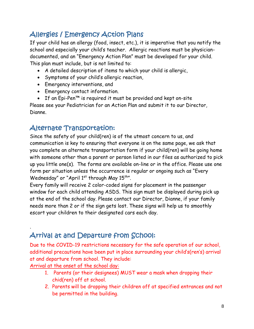## Allergies / Emergency Action Plans

If your child has an allergy (food, insect, etc.), it is imperative that you notify the school and especially your child's teacher. Allergic reactions must be physiciandocumented, and an "Emergency Action Plan" must be developed for your child. This plan must include, but is not limited to:

- A detailed description of items to which your child is allergic,
- Symptoms of your child's allergic reaction,
- Emergency interventions, and
- Emergency contact information.
- If an Epi-Pen™ is required it must be provided and kept on-site

Please see your Pediatrician for an Action Plan and submit it to our Director, Dianne.

#### Alternate Transportation:

Since the safety of your child(ren) is of the utmost concern to us, and communication is key to ensuring that everyone is on the same page, we ask that you complete an alternate transportation form if your child(ren) will be going home with someone other than a parent or person listed in our files as authorized to pick up you little one(s). The forms are available on-line or in the office. Please use one form per situation unless the occurrence is regular or ongoing such as "Every Wednesday" or "April  $1<sup>st</sup>$  through May  $15<sup>th</sup>$ ".

Every family will receive 2 color-coded signs for placement in the passenger window for each child attending ASDS. This sign must be displayed during pick up at the end of the school day. Please contact our Director, Dianne, if your family needs more than 2 or if the sign gets lost. These signs will help us to smoothly escort your children to their designated cars each day.

## Arrival at and Departure from School:

Due to the COVID-19 restrictions necessary for the safe operation of our school, additional precautions have been put in place surrounding your child's(ren's) arrival at and departure from school. They include:

Arrival at the onset of the school day:

.

- 1. Parents (or their designees) MUST wear a mask when dropping their chid(ren) off at school.
- 2. Parents will be dropping their children off at specified entrances and not be permitted in the building.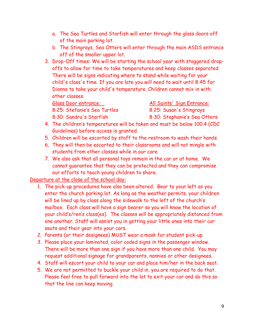- a. The Sea Turtles and Starfish will enter through the glass doors off of the main parking lot.
- b. The Stingrays, Sea Otters will enter through the main ASDS entrance off of the smaller upper lot.
- 3. Drop-Off times: We will be starting the school year with staggered dropoffs to allow for time to take temperatures and keep classes separated. There will be signs indicating where to stand while waiting for your child's class's time. If you are late you will need to wait until 8:45 for Dianne to take your child's temperature. Children cannot mix in with other classes.

8:25: Stefanie's Sea Turtles 8:25: Susan's Stingrays

Glass Door entrance: All Saints' Sign Entrance: 8:30: Sandra's Starfish 8:30: Stephanie's Sea Otters

- 4. The children's temperatures will be taken and must be below 100.4 (CDC Guidelines) before access is granted.
- 5. Children will be escorted by staff to the restroom to wash their hands.
- 6. They will then be escorted to their classrooms and will not mingle with students from other classes while in our care.
- 7. We also ask that all personal toys remain in the car or at home. We cannot guarantee that they can be protected and they can compromise our efforts to teach young children to share.

Departure at the close of the school day:

- 1. The pick-up procedures have also been altered. Bear to your left as you enter the church parking lot. As long as the weather permits, your children will be lined up by class along the sidewalk to the left of the church's mailbox. Each class will have a sign bearer so you will know the location of your child's/ren's class(es). The classes will be appropriately distanced from one another. Staff will assist you in getting your little ones into their car seats and their gear into your cars.
- 2. Parents (or their designees) MUST wear a mask for student pick-up.
- 3. Please place your laminated, color coded signs in the passenger window. There will be more than one sign if you have more than one child. You may request additional signage for grandparents, nannies or other designees.
- 4. Staff will escort your child to your car and place him/her in the back seat.
- 5. We are not permitted to buckle your child in, you are required to do that. Please feel free to pull forward into the lot to exit your car and do this so that the line can keep moving.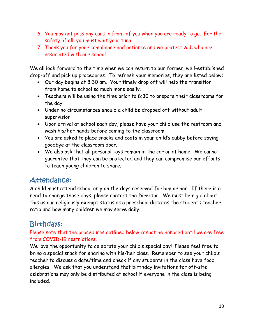- 6. You may not pass any cars in front of you when you are ready to go. For the safety of all, you must wait your turn.
- 7. Thank you for your compliance and patience and we protect ALL who are associated with our school.

We all look forward to the time when we can return to our former, well-established drop-off and pick up procedures. To refresh your memories, they are listed below:

- Our day begins at 8:30 am. Your timely drop off will help the transition from home to school so much more easily.
- Teachers will be using the time prior to 8:30 to prepare their classrooms for the day.
- Under no circumstances should a child be dropped off without adult supervision.
- Upon arrival at school each day, please have your child use the restroom and wash his/her hands before coming to the classroom.
- You are asked to place snacks and coats in your child's cubby before saying goodbye at the classroom door.
- We also ask that all personal toys remain in the car or at home. We cannot guarantee that they can be protected and they can compromise our efforts to teach young children to share.

## Attendance:

A child must attend school only on the days reserved for him or her. If there is a need to change those days, please contact the Director. We must be rigid about this as our religiously exempt status as a preschool dictates the student : teacher ratio and how many children we may serve daily.

#### Birthdays:

#### Please note that the procedures outlined below cannot he honored until we are free from COVID-19 restrictions.

We love the opportunity to celebrate your child's special day! Please feel free to bring a special snack for sharing with his/her class. Remember to see your child's teacher to discuss a date/time and check if any students in the class have food allergies. We ask that you understand that birthday invitations for off-site celebrations may only be distributed at school if everyone in the class is being included.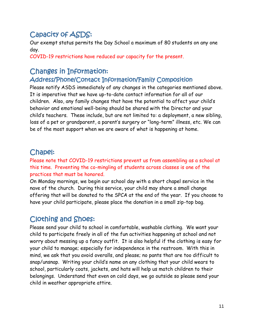## Capacity of ASDS:

Our exempt status permits the Day School a maximum of 80 students on any one day.

COVID-19 restrictions have reduced our capacity for the present.

## Changes in Information:

#### Address/Phone/Contact Information/Family Composition

Please notify ASDS immediately of any changes in the categories mentioned above. It is imperative that we have up-to-date contact information for all of our children. Also, any family changes that have the potential to affect your child's behavior and emotional well-being should be shared with the Director and your child's teachers. These include, but are not limited to: a deployment, a new sibling, loss of a pet or grandparent, a parent's surgery or "long-term" illness, etc. We can be of the most support when we are aware of what is happening at home.

#### Chapel:

Please note that COVID-19 restrictions prevent us from assembling as a school at this time. Preventing the co-mingling of students across classes is one of the practices that must be honored.

On Monday mornings, we begin our school day with a short chapel service in the nave of the church. During this service, your child may share a small change offering that will be donated to the SPCA at the end of the year. If you choose to have your child participate, please place the donation in a small zip-top bag.

#### Clothing and Shoes:

Please send your child to school in comfortable, washable clothing. We want your child to participate freely in all of the fun activities happening at school and not worry about messing up a fancy outfit. It is also helpful if the clothing is easy for your child to manage; especially for independence in the restroom. With this in mind, we ask that you avoid overalls, and please; no pants that are too difficult to snap/unsnap. Writing your child's name on any clothing that your child wears to school, particularly coats, jackets, and hats will help us match children to their belongings. Understand that even on cold days, we go outside so please send your child in weather appropriate attire.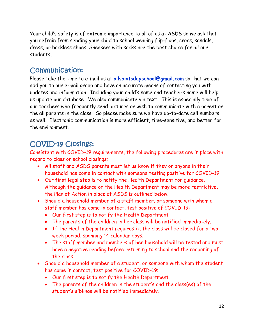Your child's safety is of extreme importance to all of us at ASDS so we ask that you refrain from sending your child to school wearing flip-flops, crocs, sandals, dress, or backless shoes. Sneakers with socks are the best choice for all our students**.**

#### Communication:

Please take the time to e-mail us at **allsaintsdayschool@gmail.com** so that we can add you to our e-mail group and have an accurate means of contacting you with updates and information. Including your child's name and teacher's name will help us update our database. We also communicate via text. This is especially true of our teachers who frequently send pictures or wish to communicate with a parent or the all parents in the class. So please make sure we have up-to-date cell numbers as well. Electronic communication is more efficient, time-sensitive, and better for the environment.

#### COVID-19 Closings:

Consistent with COVID-19 requirements, the following procedures are in place with regard to class or school closings:

- All staff and ASDS parents must let us know if they or anyone in their household has come in contact with someone testing positive for COVID-19.
- Our first legal step is to notify the Health Department for guidance. Although the guidance of the Health Department may be more restrictive, the Plan of Action in place at ASDS is outlined below.
- Should a household member of a staff member, or someone with whom a staff member has come in contact, test positive of COVID-19:
	- Our first step is to notify the Health Department
	- The parents of the children in her class will be notified immediately.
	- If the Health Department requires it, the class will be closed for a twoweek period, spanning 14 calendar days.
	- The staff member and members of her household will be tested and must have a negative reading before returning to school and the reopening of the class.
- Should a household member of a student, or someone with whom the student has come in contact, test positive for COVID-19:
	- Our first step is to notify the Health Department.
	- The parents of the children in the student's and the class(es) of the student's siblings will be notified immediately.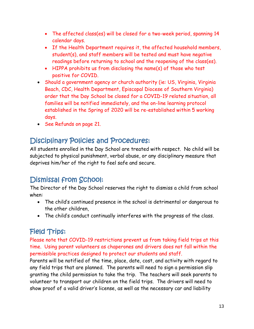- The affected class(es) will be closed for a two-week period, spanning 14 calendar days.
- If the Health Department requires it, the affected household members, student(s), and staff members will be tested and must have negative readings before returning to school and the reopening of the class(es).
- HIPPA prohibits us from disclosing the name(s) of those who test positive for COVID.
- Should a government agency or church authority (ie: US, Virginia, Virginia Beach, CDC, Health Department, Episcopal Diocese of Southern Virginia) order that the Day School be closed for a COVID-19 related situation, all families will be notified immediately, and the on-line learning protocol established in the Spring of 2020 will be re-established within 5 working days.
- See Refunds on page 21.

#### Disciplinary Policies and Procedures:

All students enrolled in the Day School are treated with respect. No child will be subjected to physical punishment, verbal abuse, or any disciplinary measure that deprives him/her of the right to feel safe and secure.

## Dismissal from School:

The Director of the Day School reserves the right to dismiss a child from school when:

- The child's continued presence in the school is detrimental or dangerous to the other children,
- The child's conduct continually interferes with the progress of the class.

#### Field Trips:

Please note that COVID-19 restrictions prevent us from taking field trips at this time. Using parent volunteers as chaperones and drivers does not fall within the permissible practices designed to protect our students and staff.

Parents will be notified of the time, place, date, cost, and activity with regard to any field trips that are planned. The parents will need to sign a permission slip granting the child permission to take the trip. The teachers will seek parents to volunteer to transport our children on the field trips. The drivers will need to show proof of a valid driver's license, as well as the necessary car and liability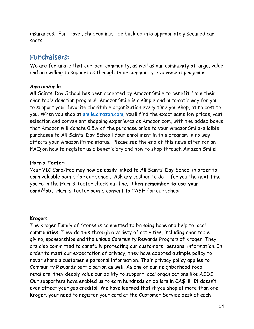insurances. For travel, children must be buckled into appropriately secured car seats.

#### Fundraisers:

We are fortunate that our local community, as well as our community at large, value and are willing to support us through their community involvement programs.

#### **AmazonSmile:**

All Saints' Day School has been accepted by AmazonSmile to benefit from their charitable donation program! AmazonSmile is a simple and automatic way for you to support your favorite charitable organization every time you shop, at no cost to you. When you shop at [smile.amazon.com](http://smile.amazon.com/), you'll find the exact same low prices, vast selection and convenient shopping experience as Amazon.com, with the added bonus that Amazon will donate 0.5% of the purchase price to your AmazonSmile-eligible purchases to All Saints' Day School! Your enrollment in this program in no way affects your Amazon Prime status. Please see the end of this newsletter for an FAQ on how to register us a beneficiary and how to shop through Amazon Smile!

#### **Harris Teeter:**

Your VIC Card/Fob may now be easily linked to All Saints' Day School in order to earn valuable points for our school. Ask any cashier to do it for you the next time you're in the Harris Teeter check-out line. **Then remember to use your card/fob.** Harris Teeter points convert to CA\$H for our school!

#### **Kroger:**

The Kroger Family of Stores is committed to bringing hope and help to local communities. They do this through a variety of activities, including charitable giving, sponsorships and the unique Community Rewards Program of Kroger. They are also committed to carefully protecting our customers' personal information. In order to meet our expectation of privacy, they have adopted a simple policy to never share a customer's personal information. Their privacy policy applies to Community Rewards participation as well. As one of our neighborhood food retailers, they deeply value our ability to support local organizations like ASDS. Our supporters have enabled us to earn hundreds of dollars in CA\$H! It doesn't even affect your gas credits! We have learned that if you shop at more than one Kroger, your need to register your card at the Customer Service desk at each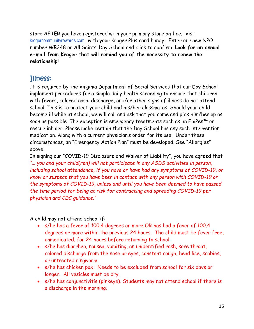store AFTER you have registered with your primary store on-line. Visit [krogercommunityrewards.com](http://krogercommunityrewards.com/) with your Kroger Plus card handy. Enter our new NPO number WB348 or All Saints' Day School and click to confirm. **Look for an annual e-mail from Kroger that will remind you of the necessity to renew the relationship!**

#### Illness:

It is required by the Virginia Department of Social Services that our Day School implement procedures for a simple daily health screening to ensure that children with fevers, colored nasal discharge, and/or other signs of illness do not attend school. This is to protect your child and his/her classmates. Should your child become ill while at school, we will call and ask that you come and pick him/her up as soon as possible. The exception is emergency treatments such as an EpiPen™ or rescue inhaler. Please make certain that the Day School has any such intervention medication. Along with a current physician's order for its use. Under these circumstances, an "Emergency Action Plan" must be developed. See "Allergies" above.

In signing our "COVID-19 Disclosure and Waiver of Liability", you have agreed that *"… you and your child(ren) will not participate in any ASDS activities in person, including school attendance, if you have or have had any symptoms of COVID-19, or know or suspect that you have been in contact with any person with COVID-19 or the symptoms of COVID-19, unless and until you have been deemed to have passed the time period for being at risk for contracting and spreading COVID-19 per physician and CDC guidance."*

A child may not attend school if:

- s/he has a fever of 100.4 degrees or more OR has had a fever of 100.4 degrees or more within the previous 24 hours. The child must be fever free, unmedicated, for 24 hours before returning to school.
- s/he has diarrhea, nausea, vomiting, an unidentified rash, sore throat, colored discharge from the nose or eyes, constant cough, head lice, scabies, or untreated ringworm.
- s/he has chicken pox. Needs to be excluded from school for six days or longer. All vesicles must be dry.
- s/he has conjunctivitis (pinkeye). Students may not attend school if there is a discharge in the morning.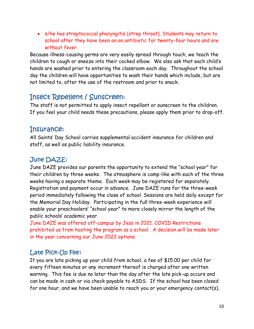• s/he has streptococcal pharyngitis (strep throat). Students may return to school after they have been on an antibiotic for twenty-four hours and are without fever.

Because illness-causing germs are very easily spread through touch, we teach the children to cough or sneeze into their cocked elbow. We also ask that each child's hands are washed prior to entering the classroom each day. Throughout the school day the children will have opportunities to wash their hands which include, but are not limited to, after the use of the restroom and prior to snack.

#### Insect Repellent / Sunscreen:

The staff is not permitted to apply insect repellant or sunscreen to the children. If you feel your child needs these precautions, please apply them prior to drop-off.

#### Insurance:

All Saints' Day School carries supplemental accident insurance for children and staff, as well as public liability insurance.

#### June DAZE:

June DAZE provides our parents the opportunity to extend the "school year" for their children by three weeks. The atmosphere is camp-like with each of the three weeks having a separate theme. Each week may be registered for separately. Registration and payment occur in advance. June DAZE runs for the three-week period immediately following the close of school. Sessions are held daily except for the Memorial Day Holiday. Participating in the full three-week experience will enable your preschoolers' "school year" to more closely mirror the length of the public schools' academic year.

June DAZE was offered off-campus by Jess in 2021. COVID Restrictions prohibited us from hosting the program as a school. A decision will be made later in the year concerning our June 2022 options.

#### Late Pick-Up Fee**:**

It you are late picking up your child from school, a fee of \$15.00 per child for every fifteen minutes or any increment thereof is charged after one written warning. This fee is due no later than the day after the late pick-up occurs and can be made in cash or via check payable to ASDS. If the school has been closed for one hour, and we have been unable to reach you or your emergency contact(s),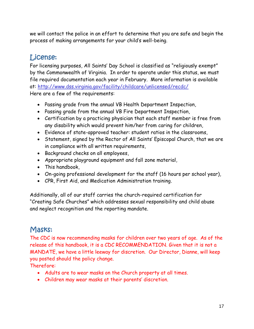we will contact the police in an effort to determine that you are safe and begin the process of making arrangements for your child's well-being.

## License:

For licensing purposes, All Saints' Day School is classified as "religiously exempt" by the Commonwealth of Virginia. In order to operate under this status, we must file required documentation each year in February. More information is available at:<http://www.dss.virginia.gov/facility/childcare/unlicensed/recdc/> Here are a few of the requirements:

- Passing grade from the annual VB Health Department Inspection,
- Passing grade from the annual VB Fire Department Inspection,
- Certification by a practicing physician that each staff member is free from any disability which would prevent him/her from caring for children,
- Evidence of state-approved teacher: student ratios in the classrooms,
- Statement, signed by the Rector of All Saints' Episcopal Church, that we are in compliance with all written requirements,
- Background checks on all employees,
- Appropriate playground equipment and fall zone material,
- This handbook,
- On-going professional development for the staff (16 hours per school year),
- CPR, First Aid, and Medication Administration training.

Additionally, all of our staff carries the church-required certification for "Creating Safe Churches" which addresses sexual responsibility and child abuse and neglect recognition and the reporting mandate.

#### Masks:

The CDC is now recommending masks for children over two years of age. As of the release of this handbook, it is a CDC RECOMMENDATION. Given that it is not a MANDATE, we have a little leeway for discretion. Our Director, Dianne, will keep you posted should the policy change.

Therefore:

- Adults are to wear masks on the Church property at all times.
- Children may wear masks at their parents' discretion.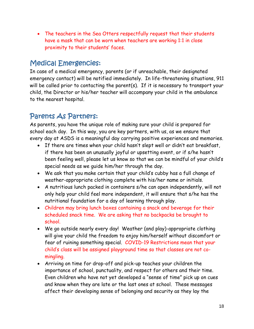• The teachers in the Sea Otters respectfully request that their students have a mask that can be worn when teachers are working 1:1 in close proximity to their students' faces.

#### Medical Emergencies:

In case of a medical emergency, parents (or if unreachable, their designated emergency contact) will be notified immediately. In life-threatening situations, 911 will be called prior to contacting the parent(s). If it is necessary to transport your child, the Director or his/her teacher will accompany your child in the ambulance to the nearest hospital.

#### Parents As Partners:

As parents, you have the unique role of making sure your child is prepared for school each day. In this way, you are key partners, with us, as we ensure that every day at ASDS is a meaningful day carrying positive experiences and memories.

- If there are times when your child hasn't slept well or didn't eat breakfast, if there has been an unusually joyful or upsetting event, or if s/he hasn't been feeling well, please let us know so that we can be mindful of your child's special needs as we guide him/her through the day.
- We ask that you make certain that your child's cubby has a full change of weather-appropriate clothing complete with his/her name or initials.
- A nutritious lunch packed in containers s/he can open independently, will not only help your child feel more independent, it will ensure that s/he has the nutritional foundation for a day of learning through play.
- Children may bring lunch boxes containing a snack and beverage for their scheduled snack time. We are asking that no backpacks be brought to school.
- We go outside nearly every day! Weather (and play)-appropriate clothing will give your child the freedom to enjoy him/herself without discomfort or fear of ruining something special. COVID-19 Restrictions mean that your child's class will be assigned playground time so that classes are not comingling.
- Arriving on time for drop-off and pick-up teaches your children the importance of school, punctuality, and respect for others and their time. Even children who have not yet developed a "sense of time" pick up on cues and know when they are late or the last ones at school. These messages affect their developing sense of belonging and security as they lay the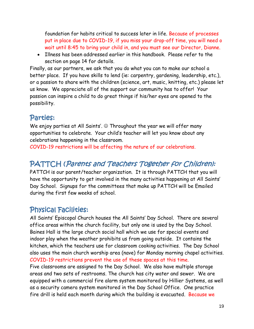foundation for habits critical to success later in life. Because of processes put in place due to COVID-19, if you miss your drop-off time, you will need o wait until 8:45 to bring your child in, and you must see our Director, Dianne.

• Illness has been addressed earlier in this handbook. Please refer to the section on page 14 for details.

Finally, as our partners, we ask that you do what you can to make our school a better place. If you have skills to lend (ie: carpentry, gardening, leadership, etc.), or a passion to share with the children (science, art, music, knitting, etc.) please let us know. We appreciate all of the support our community has to offer! Your passion can inspire a child to do great things if his/her eyes are opened to the possibility.

#### Parties:

We enjoy parties at All Saints'.  $\odot$  Throughout the year we will offer many opportunities to celebrate. Your child's teacher will let you know about any celebrations happening in the classroom.

COVID-19 restrictions will be affecting the nature of our celebrations.

#### PATTCH (Parents and Teachers Together for Children):

PATTCH is our parent/teacher organization. It is through PATTCH that you will have the opportunity to get involved in the many activities happening at All Saints' Day School. Signups for the committees that make up PATTCH will be Emailed during the first few weeks of school.

#### Physical Facilities:

All Saints' Episcopal Church houses the All Saints' Day School. There are several office areas within the church facility, but only one is used by the Day School. Baines Hall is the large church social hall which we use for special events and indoor play when the weather prohibits us from going outside. It contains the kitchen, which the teachers use for classroom cooking activities. The Day School also uses the main church worship area (nave) for Monday morning chapel activities. COVID-19 restrictions prevent the use of these spaces at this time. Five classrooms are assigned to the Day School. We also have multiple storage areas and two sets of restrooms. The church has city water and sewer. We are equipped with a commercial fire alarm system monitored by Hillier Systems, as well as a security camera system monitored in the Day School Office. One practice fire drill is held each month during which the building is evacuated. Because we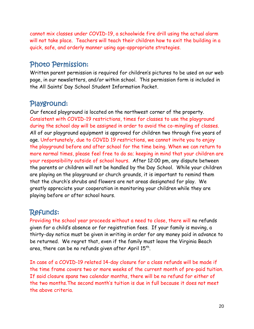cannot mix classes under COVID-19, a schoolwide fire drill using the actual alarm will not take place. Teachers will teach their children how to exit the building in a quick, safe, and orderly manner using age-appropriate strategies.

#### Photo Permission:

Written parent permission is required for children's pictures to be used on our web page, in our newsletters, and/or within school. This permission form is included in the All Saints' Day School Student Information Packet.

#### Playground:

Our fenced playground is located on the northwest corner of the property. Consistent with COVID-19 restrictions, times for classes to use the playground during the school day will be assigned in order to avoid the co-mingling of classes. All of our playground equipment is approved for children two through five years of age. Unfortunately, due to COVID 19 restrictions, we cannot invite you to enjoy the playground before and after school for the time being. When we can return to more normal times, please feel free to do so; keeping in mind that your children are your responsibility outside of school hours. After 12:00 pm, any dispute between the parents or children will not be handled by the Day School. While your children are playing on the playground or church grounds, it is important to remind them that the church's shrubs and flowers are not areas designated for play. We greatly appreciate your cooperation in monitoring your children while they are playing before or after school hours.

#### Refunds:

Providing the school year proceeds without a need to close, there will no refunds given for a child's absence or for registration fees. If your family is moving, a thirty-day notice must be given in writing in order for any money paid in advance to be returned. We regret that, even if the family must leave the Virginia Beach area, there can be no refunds given after April 15th.

In case of a COVID-19 related 14-day closure for a class refunds will be made if the time frame covers two or more weeks of the current month of pre-paid tuition. If said closure spans two calendar months, there will be no refund for either of the two months.The second month's tuition is due in full because it does not meet the above criteria.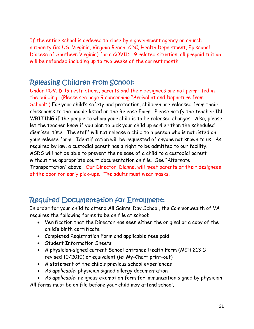If the entire school is ordered to close by a government agency or church authority (ie: US, Virginia, Virginia Beach, CDC, Health Department, Episcopal Diocese of Southern Virginia) for a COVID-19 related situation, all prepaid tuition will be refunded including up to two weeks of the current month.

#### Releasing Children from School:

Under COVID-19 restrictions, parents and their designees are not permitted in the building. (Please see page 9 concerning "Arrival at and Departure from School".) For your child's safety and protection, children are released from their classrooms to the people listed on the Release Form. Please notify the teacher IN WRITING if the people to whom your child is to be released changes. Also, please let the teacher know if you plan to pick your child up earlier than the scheduled dismissal time. The staff will not release a child to a person who is not listed on your release form. Identification will be requested of anyone not known to us. As required by law, a custodial parent has a right to be admitted to our facility. ASDS will not be able to prevent the release of a child to a custodial parent without the appropriate court documentation on file. See "Alternate Transportation" above. Our Director, Dianne, will meet parents or their designees at the door for early pick-ups. The adults must wear masks.

#### Required Documentation for Enrollment:

In order for your child to attend All Saints' Day School, the Commonwealth of VA requires the following forms to be on file at school:

- Verification that the Director has seen either the original or a copy of the child's birth certificate
- Completed Registration Form and applicable fees paid
- Student Information Sheets
- A physician-signed current School Entrance Health Form (MCH 213 G revised 10/2010) or equivalent (ie: My-Chart print-out)
- A statement of the child's previous school experiences
- *As applicable*: physician signed allergy documentation
- *As applicable*: religious exemption form for immunization signed by physician

All forms must be on file before your child may attend school.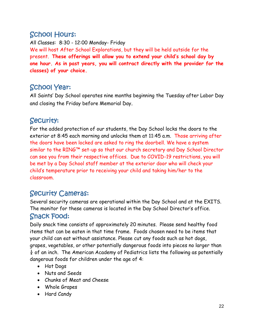## School Hours:

All Classes: 8:30 - 12:00 Monday- Friday We will host After School Explorations, but they will be held outside for the present. **These offerings will allow you to extend your child's school day by one hour. As in past years, you will contract directly with the provider for the classes) of your choice.**

## School Year:

All Saints' Day School operates nine months beginning the Tuesday after Labor Day and closing the Friday before Memorial Day.

#### Security:

For the added protection of our students, the Day School locks the doors to the exterior at 8:45 each morning and unlocks them at 11:45 a.m. Those arriving after the doors have been locked are asked to ring the doorbell. We have a system similar to the RING™ set-up so that our church secretary and Day School Director can see you from their respective offices. Due to COVID-19 restrictions, you will be met by a Day School staff member at the exterior door who will check your child's temperature prior to receiving your child and taking him/her to the classroom.

#### Security Cameras:

Several security cameras are operational within the Day School and at the EXITS. The monitor for these cameras is located in the Day School Director's office. Snack Food:

Daily snack time consists of approximately 20 minutes. Please send healthy food items that can be eaten in that time frame. Foods chosen need to be items that your child can eat without assistance. Please cut any foods such as hot dogs, grapes, vegetables, or other potentially dangerous foods into pieces no larger than  $\frac{1}{4}$  of an inch. The American Academy of Pediatrics lists the following as potentially dangerous foods for children under the age of 4:

- Hot Dogs
- Nuts and Seeds
- Chunks of Meat and Cheese
- Whole Grapes
- Hard Candy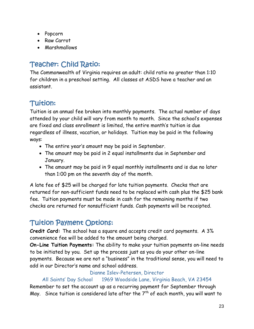- Popcorn
- Raw Carrot
- Marshmallows

## Teacher: Child Ratio:

The Commonwealth of Virginia requires an adult: child ratio no greater than 1:10 for children in a preschool setting. All classes at ASDS have a teacher and an assistant.

## Tuition:

Tuition is an annual fee broken into monthly payments. The actual number of days attended by your child will vary from month to month. Since the school's expenses are fixed and class enrollment is limited, the entire month's tuition is due regardless of illness, vacation, or holidays. Tuition may be paid in the following ways:

- The entire year's amount may be paid in September.
- The amount may be paid in 2 equal installments due in September and January.
- The amount may be paid in 9 equal monthly installments and is due no later than 1:00 pm on the seventh day of the month.

A late fee of \$25 will be charged for late tuition payments. Checks that are returned for non-sufficient funds need to be replaced with cash plus the \$25 bank fee. Tuition payments must be made in cash for the remaining months if two checks are returned for nonsufficient funds. Cash payments will be receipted.

#### Tuition Payment Options:

**Credit Card:** The school has a square and accepts credit card payments. A 3% convenience fee will be added to the amount being charged.

**On-Line Tuition Payments:** The ability to make your tuition payments on-line needs to be initiated by you. Set up the process just as you do your other on-line payments. Because we are not a "business" in the traditional sense, you will need to add in our Director's name and school address.

#### Dianne Islev-Petersen, Director

#### All Saints' Day School 1969 Woodside Lane, Virginia Beach, VA 23454

Remember to set the account up as a recurring payment for September through May. Since tuition is considered late after the  $7<sup>th</sup>$  of each month, you will want to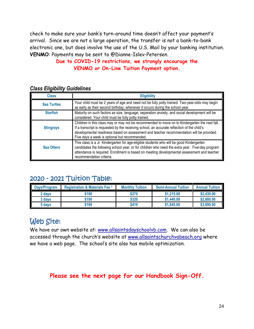check to make sure your bank's turn-around time doesn't affect your payment's arrival. Since we are not a large operation, the transfer is not a bank-to-bank electronic one, but does involve the use of the U.S. Mail by your banking institution. **VENMO**: Payments may be sent to @Dianne-Islev-Petersen.

#### **Due to COVID-19 restrictions, we strongly encourage the VENMO or On-Line Tuition Payment option.**

#### *Class Eligibility Guidelines*

| <b>Class</b>       | <b>Eligibility</b>                                                                                                                                                                                                                                                                                                                         |
|--------------------|--------------------------------------------------------------------------------------------------------------------------------------------------------------------------------------------------------------------------------------------------------------------------------------------------------------------------------------------|
| <b>Sea Turtles</b> | Your child must be 2 years of age and need not be fully potty trained. Two-year-olds may begin<br>as early as their second birthday; whenever it occurs during the school year.                                                                                                                                                            |
| <b>Starfish</b>    | Maturity on such factors as size, language, separation anxiety, and social development will be<br>considered. Your child must be fully potty trained.                                                                                                                                                                                      |
| <b>Stingrays</b>   | Children in this class may or may not be recommended to move on to Kindergarten the next fall.<br>If a transcript is requested by the receiving school, an accurate reflection of the child's<br>developmental readiness based on assessment and teacher recommendation will be provided.<br>Five days a week is optional but recommended. |
| <b>Sea Otters</b>  | This class is a Jr. Kindergarten for age-eligible students who will be good Kindergarten<br>candidates the following school year, or for children who need the extra year. Five-day program<br>attendance is required. Enrollment is based on meeting developmental assessment and teacher<br>recommendation criteria.                     |

#### 2020 - 2021 Tuition Table:

| <b>Davs/Program</b> | <b>Registration &amp; Materials Fee *</b> | <b>Monthly Tuition</b> | <b>Semi-Annual Tuition</b> | <b>Annual Tuition</b> |
|---------------------|-------------------------------------------|------------------------|----------------------------|-----------------------|
| 2 days              | \$190                                     | \$270                  | \$1,215.00                 | \$2,430.00            |
| 3 days              | \$190                                     | \$320                  | \$1,440.00                 | \$2,880.00            |
| 5 days              | \$190                                     | \$410                  | \$1,845.00                 | \$3,690.00            |

## Web Site:

We have our own website at: [www.allsaintsdayschoolvb.com.](http://www.allsaintsdayschoolvb.com/) We can also be accessed through the church's website at [www.allsaintschurchvabeach.org](http://www.allsaintschurchvabeach.org/) where we have a web page. The school's site also has mobile optimization.

#### **Please see the next page for our Handbook Sign-Off.**